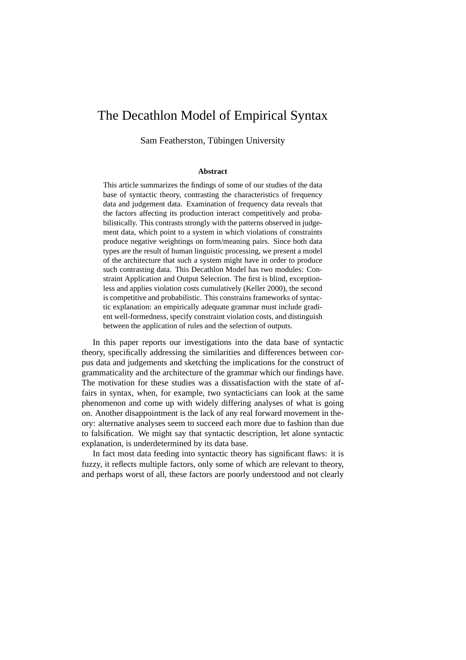# The Decathlon Model of Empirical Syntax

Sam Featherston, Tübingen University

#### **Abstract**

This article summarizes the findings of some of our studies of the data base of syntactic theory, contrasting the characteristics of frequency data and judgement data. Examination of frequency data reveals that the factors affecting its production interact competitively and probabilistically. This contrasts strongly with the patterns observed in judgement data, which point to a system in which violations of constraints produce negative weightings on form/meaning pairs. Since both data types are the result of human linguistic processing, we present a model of the architecture that such a system might have in order to produce such contrasting data. This Decathlon Model has two modules: Constraint Application and Output Selection. The first is blind, exceptionless and applies violation costs cumulatively (Keller 2000), the second is competitive and probabilistic. This constrains frameworks of syntactic explanation: an empirically adequate grammar must include gradient well-formedness, specify constraint violation costs, and distinguish between the application of rules and the selection of outputs.

In this paper reports our investigations into the data base of syntactic theory, specifically addressing the similarities and differences between corpus data and judgements and sketching the implications for the construct of grammaticality and the architecture of the grammar which our findings have. The motivation for these studies was a dissatisfaction with the state of affairs in syntax, when, for example, two syntacticians can look at the same phenomenon and come up with widely differing analyses of what is going on. Another disappointment is the lack of any real forward movement in theory: alternative analyses seem to succeed each more due to fashion than due to falsification. We might say that syntactic description, let alone syntactic explanation, is underdetermined by its data base.

In fact most data feeding into syntactic theory has significant flaws: it is fuzzy, it reflects multiple factors, only some of which are relevant to theory, and perhaps worst of all, these factors are poorly understood and not clearly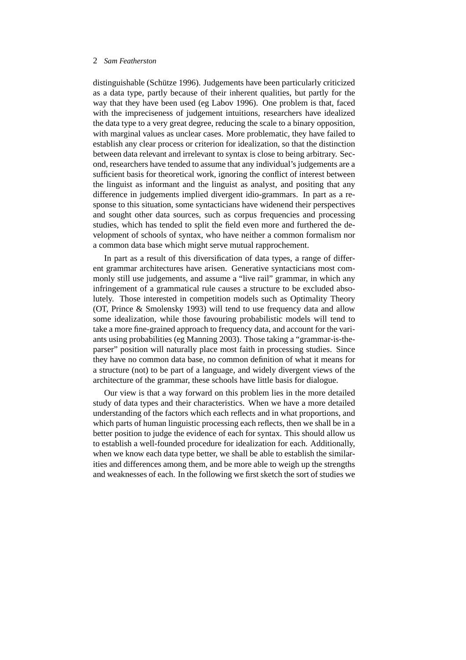distinguishable (Schütze 1996). Judgements have been particularly criticized as a data type, partly because of their inherent qualities, but partly for the way that they have been used (eg Labov 1996). One problem is that, faced with the impreciseness of judgement intuitions, researchers have idealized the data type to a very great degree, reducing the scale to a binary opposition, with marginal values as unclear cases. More problematic, they have failed to establish any clear process or criterion for idealization, so that the distinction between data relevant and irrelevant to syntax is close to being arbitrary. Second, researchers have tended to assume that any individual's judgements are a sufficient basis for theoretical work, ignoring the conflict of interest between the linguist as informant and the linguist as analyst, and positing that any difference in judgements implied divergent idio-grammars. In part as a response to this situation, some syntacticians have widenend their perspectives and sought other data sources, such as corpus frequencies and processing studies, which has tended to split the field even more and furthered the development of schools of syntax, who have neither a common formalism nor a common data base which might serve mutual rapprochement.

In part as a result of this diversification of data types, a range of different grammar architectures have arisen. Generative syntacticians most commonly still use judgements, and assume a "live rail" grammar, in which any infringement of a grammatical rule causes a structure to be excluded absolutely. Those interested in competition models such as Optimality Theory (OT, Prince & Smolensky 1993) will tend to use frequency data and allow some idealization, while those favouring probabilistic models will tend to take a more fine-grained approach to frequency data, and account for the variants using probabilities (eg Manning 2003). Those taking a "grammar-is-theparser" position will naturally place most faith in processing studies. Since they have no common data base, no common definition of what it means for a structure (not) to be part of a language, and widely divergent views of the architecture of the grammar, these schools have little basis for dialogue.

Our view is that a way forward on this problem lies in the more detailed study of data types and their characteristics. When we have a more detailed understanding of the factors which each reflects and in what proportions, and which parts of human linguistic processing each reflects, then we shall be in a better position to judge the evidence of each for syntax. This should allow us to establish a well-founded procedure for idealization for each. Additionally, when we know each data type better, we shall be able to establish the similarities and differences among them, and be more able to weigh up the strengths and weaknesses of each. In the following we first sketch the sort of studies we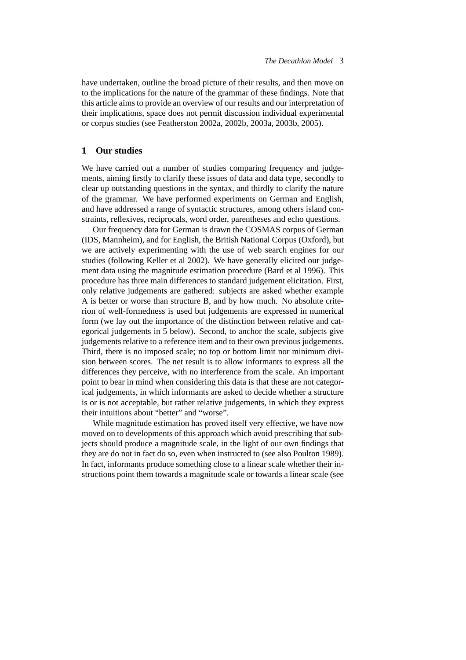have undertaken, outline the broad picture of their results, and then move on to the implications for the nature of the grammar of these findings. Note that this article aims to provide an overview of our results and our interpretation of their implications, space does not permit discussion individual experimental or corpus studies (see Featherston 2002a, 2002b, 2003a, 2003b, 2005).

## **1 Our studies**

We have carried out a number of studies comparing frequency and judgements, aiming firstly to clarify these issues of data and data type, secondly to clear up outstanding questions in the syntax, and thirdly to clarify the nature of the grammar. We have performed experiments on German and English, and have addressed a range of syntactic structures, among others island constraints, reflexives, reciprocals, word order, parentheses and echo questions.

Our frequency data for German is drawn the COSMAS corpus of German (IDS, Mannheim), and for English, the British National Corpus (Oxford), but we are actively experimenting with the use of web search engines for our studies (following Keller et al 2002). We have generally elicited our judgement data using the magnitude estimation procedure (Bard et al 1996). This procedure has three main differences to standard judgement elicitation. First, only relative judgements are gathered: subjects are asked whether example A is better or worse than structure B, and by how much. No absolute criterion of well-formedness is used but judgements are expressed in numerical form (we lay out the importance of the distinction between relative and categorical judgements in 5 below). Second, to anchor the scale, subjects give judgements relative to a reference item and to their own previous judgements. Third, there is no imposed scale; no top or bottom limit nor minimum division between scores. The net result is to allow informants to express all the differences they perceive, with no interference from the scale. An important point to bear in mind when considering this data is that these are not categorical judgements, in which informants are asked to decide whether a structure is or is not acceptable, but rather relative judgements, in which they express their intuitions about "better" and "worse".

While magnitude estimation has proved itself very effective, we have now moved on to developments of this approach which avoid prescribing that subjects should produce a magnitude scale, in the light of our own findings that they are do not in fact do so, even when instructed to (see also Poulton 1989). In fact, informants produce something close to a linear scale whether their instructions point them towards a magnitude scale or towards a linear scale (see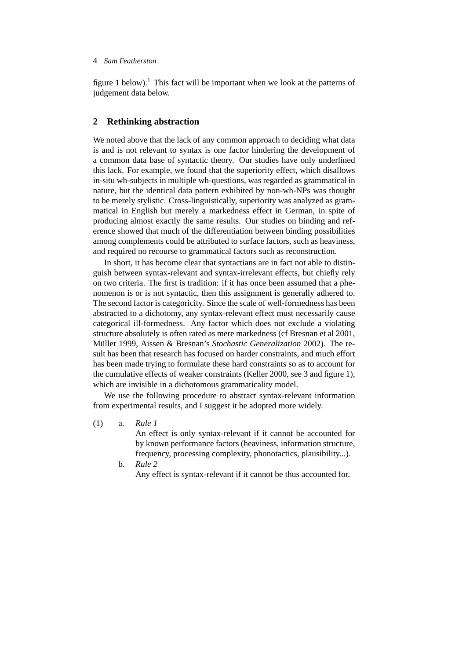figure 1 below).<sup>1</sup> This fact will be important when we look at the patterns of judgement data below.

## **2 Rethinking abstraction**

We noted above that the lack of any common approach to deciding what data is and is not relevant to syntax is one factor hindering the development of a common data base of syntactic theory. Our studies have only underlined this lack. For example, we found that the superiority effect, which disallows in-situ wh-subjects in multiple wh-questions, was regarded as grammatical in nature, but the identical data pattern exhibited by non-wh-NPs was thought to be merely stylistic. Cross-linguistically, superiority was analyzed as grammatical in English but merely a markedness effect in German, in spite of producing almost exactly the same results. Our studies on binding and reference showed that much of the differentiation between binding possibilities among complements could be attributed to surface factors, such as heaviness, and required no recourse to grammatical factors such as reconstruction.

In short, it has become clear that syntactians are in fact not able to distinguish between syntax-relevant and syntax-irrelevant effects, but chiefly rely on two criteria. The first is tradition: if it has once been assumed that a phenomenon is or is not syntactic, then this assignment is generally adhered to. The second factor is categoricity. Since the scale of well-formedness has been abstracted to a dichotomy, any syntax-relevant effect must necessarily cause categorical ill-formedness. Any factor which does not exclude a violating structure absolutely is often rated as mere markedness (cf Bresnan et al 2001, Müller 1999, Aissen & Bresnan's *Stochastic Generalization* 2002). The result has been that research has focused on harder constraints, and much effort has been made trying to formulate these hard constraints so as to account for the cumulative effects of weaker constraints (Keller 2000, see 3 and figure 1), which are invisible in a dichotomous grammaticality model.

We use the following procedure to abstract syntax-relevant information from experimental results, and I suggest it be adopted more widely.

(1) a. *Rule 1*

An effect is only syntax-relevant if it cannot be accounted for by known performance factors (heaviness, information structure, frequency, processing complexity, phonotactics, plausibility...).

b. *Rule 2* Any effect is syntax-relevant if it cannot be thus accounted for.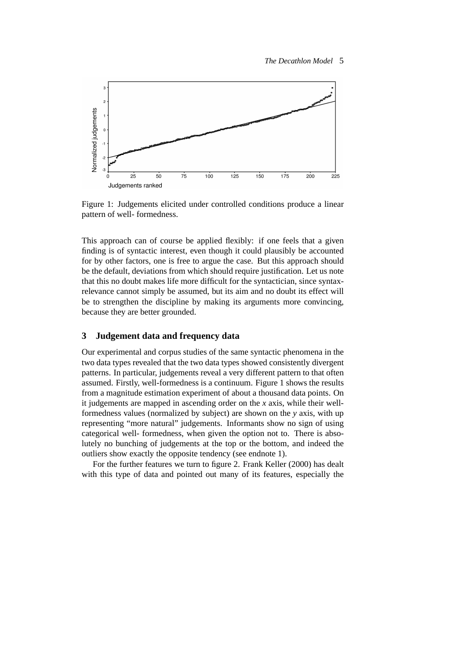

Figure 1: Judgements elicited under controlled conditions produce a linear pattern of well- formedness.

This approach can of course be applied flexibly: if one feels that a given finding is of syntactic interest, even though it could plausibly be accounted for by other factors, one is free to argue the case. But this approach should be the default, deviations from which should require justification. Let us note that this no doubt makes life more difficult for the syntactician, since syntaxrelevance cannot simply be assumed, but its aim and no doubt its effect will be to strengthen the discipline by making its arguments more convincing, because they are better grounded.

## **3 Judgement data and frequency data**

Our experimental and corpus studies of the same syntactic phenomena in the two data types revealed that the two data types showed consistently divergent patterns. In particular, judgements reveal a very different pattern to that often assumed. Firstly, well-formedness is a continuum. Figure 1 shows the results from a magnitude estimation experiment of about a thousand data points. On it judgements are mapped in ascending order on the *x* axis, while their wellformedness values (normalized by subject) are shown on the *y* axis, with up representing "more natural" judgements. Informants show no sign of using categorical well- formedness, when given the option not to. There is absolutely no bunching of judgements at the top or the bottom, and indeed the outliers show exactly the opposite tendency (see endnote 1).

For the further features we turn to figure 2. Frank Keller (2000) has dealt with this type of data and pointed out many of its features, especially the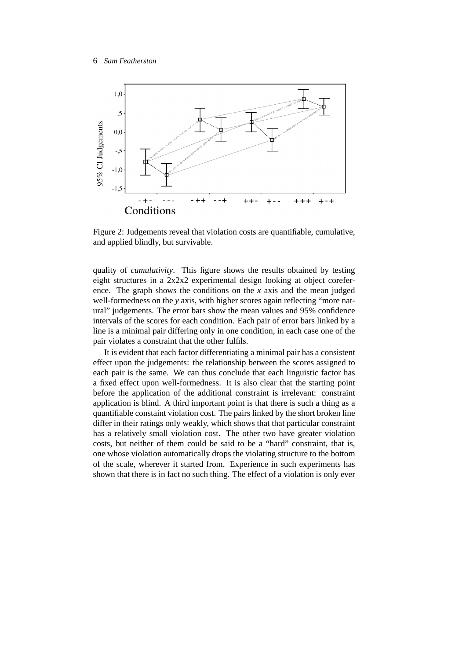

Figure 2: Judgements reveal that violation costs are quantifiable, cumulative, and applied blindly, but survivable.

quality of *cumulativity*. This figure shows the results obtained by testing eight structures in a 2x2x2 experimental design looking at object coreference. The graph shows the conditions on the *x* axis and the mean judged well-formedness on the *y* axis, with higher scores again reflecting "more natural" judgements. The error bars show the mean values and 95% confidence intervals of the scores for each condition. Each pair of error bars linked by a line is a minimal pair differing only in one condition, in each case one of the pair violates a constraint that the other fulfils.

It is evident that each factor differentiating a minimal pair has a consistent effect upon the judgements: the relationship between the scores assigned to each pair is the same. We can thus conclude that each linguistic factor has a fixed effect upon well-formedness. It is also clear that the starting point before the application of the additional constraint is irrelevant: constraint application is blind. A third important point is that there is such a thing as a quantifiable constaint violation cost. The pairs linked by the short broken line differ in their ratings only weakly, which shows that that particular constraint has a relatively small violation cost. The other two have greater violation costs, but neither of them could be said to be a "hard" constraint, that is, one whose violation automatically drops the violating structure to the bottom of the scale, wherever it started from. Experience in such experiments has shown that there is in fact no such thing. The effect of a violation is only ever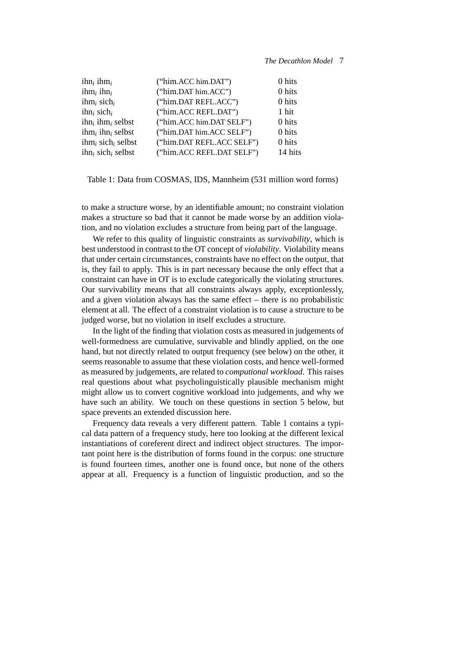| $\text{ihn}_i$ ihm $_i$                      | ("him.ACC him.DAT")       | 0 hits  |
|----------------------------------------------|---------------------------|---------|
| $ihm_i$ ihn <sub>i</sub>                     | ("him.DAT him.ACC")       | 0 hits  |
| ihm <sub>i</sub> sich <sub>i</sub>           | ("him.DAT REFL.ACC")      | 0 hits  |
| $i$ hn <sub>i</sub> sich <sub>i</sub>        | ("him.ACC REFL.DAT")      | 1 hit   |
| $i$ hn <sub>i</sub> ihm <sub>i</sub> selbst  | ("him.ACC him.DAT SELF")  | 0 hits  |
| $\lim_{i}$ ihn, selbst                       | ("him.DAT him.ACC SELF")  | 0 hits  |
| $\lim_{i}$ sich <sub>i</sub> selbst          | ("him.DAT REFL.ACC SELF") | 0 hits  |
| $i$ hn <sub>i</sub> sich <sub>i</sub> selbst | ("him.ACC REFL.DAT SELF") | 14 hits |
|                                              |                           |         |

#### Table 1: Data from COSMAS, IDS, Mannheim (531 million word forms)

to make a structure worse, by an identifiable amount; no constraint violation makes a structure so bad that it cannot be made worse by an addition violation, and no violation excludes a structure from being part of the language.

We refer to this quality of linguistic constraints as *survivability*, which is best understood in contrast to the OT concept of *violability*. Violability means that under certain circumstances, constraints have no effect on the output, that is, they fail to apply. This is in part necessary because the only effect that a constraint can have in OT is to exclude categorically the violating structures. Our survivability means that all constraints always apply, exceptionlessly, and a given violation always has the same effect – there is no probabilistic element at all. The effect of a constraint violation is to cause a structure to be judged worse, but no violation in itself excludes a structure.

In the light of the finding that violation costs as measured in judgements of well-formedness are cumulative, survivable and blindly applied, on the one hand, but not directly related to output frequency (see below) on the other, it seems reasonable to assume that these violation costs, and hence well-formed as measured by judgements, are related to *computional workload*. This raises real questions about what psycholinguistically plausible mechanism might might allow us to convert cognitive workload into judgements, and why we have such an ability. We touch on these questions in section 5 below, but space prevents an extended discussion here.

Frequency data reveals a very different pattern. Table 1 contains a typical data pattern of a frequency study, here too looking at the different lexical instantiations of coreferent direct and indirect object structures. The important point here is the distribution of forms found in the corpus: one structure is found fourteen times, another one is found once, but none of the others appear at all. Frequency is a function of linguistic production, and so the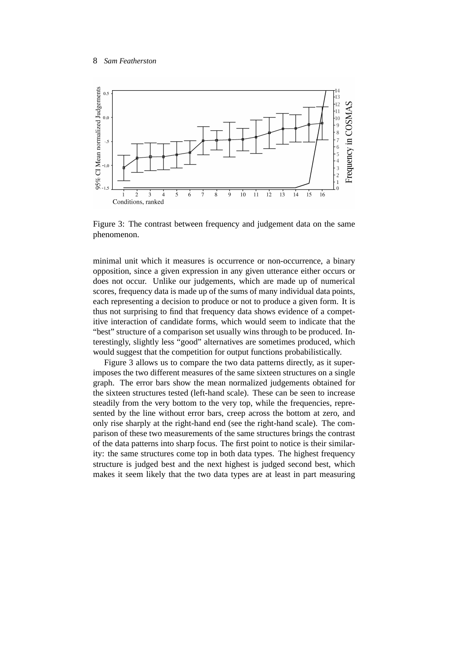

Figure 3: The contrast between frequency and judgement data on the same phenomenon.

minimal unit which it measures is occurrence or non-occurrence, a binary opposition, since a given expression in any given utterance either occurs or does not occur. Unlike our judgements, which are made up of numerical scores, frequency data is made up of the sums of many individual data points, each representing a decision to produce or not to produce a given form. It is thus not surprising to find that frequency data shows evidence of a competitive interaction of candidate forms, which would seem to indicate that the "best" structure of a comparison set usually wins through to be produced. Interestingly, slightly less "good" alternatives are sometimes produced, which would suggest that the competition for output functions probabilistically.

Figure 3 allows us to compare the two data patterns directly, as it superimposes the two different measures of the same sixteen structures on a single graph. The error bars show the mean normalized judgements obtained for the sixteen structures tested (left-hand scale). These can be seen to increase steadily from the very bottom to the very top, while the frequencies, represented by the line without error bars, creep across the bottom at zero, and only rise sharply at the right-hand end (see the right-hand scale). The comparison of these two measurements of the same structures brings the contrast of the data patterns into sharp focus. The first point to notice is their similarity: the same structures come top in both data types. The highest frequency structure is judged best and the next highest is judged second best, which makes it seem likely that the two data types are at least in part measuring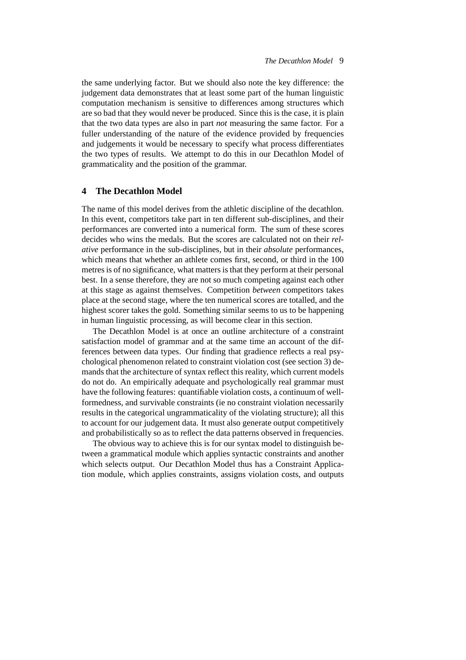the same underlying factor. But we should also note the key difference: the judgement data demonstrates that at least some part of the human linguistic computation mechanism is sensitive to differences among structures which are so bad that they would never be produced. Since this is the case, it is plain that the two data types are also in part *not* measuring the same factor. For a fuller understanding of the nature of the evidence provided by frequencies and judgements it would be necessary to specify what process differentiates the two types of results. We attempt to do this in our Decathlon Model of grammaticality and the position of the grammar.

#### **4 The Decathlon Model**

The name of this model derives from the athletic discipline of the decathlon. In this event, competitors take part in ten different sub-disciplines, and their performances are converted into a numerical form. The sum of these scores decides who wins the medals. But the scores are calculated not on their *relative* performance in the sub-disciplines, but in their *absolute* performances, which means that whether an athlete comes first, second, or third in the 100 metres is of no significance, what matters is that they perform at their personal best. In a sense therefore, they are not so much competing against each other at this stage as against themselves. Competition *between* competitors takes place at the second stage, where the ten numerical scores are totalled, and the highest scorer takes the gold. Something similar seems to us to be happening in human linguistic processing, as will become clear in this section.

The Decathlon Model is at once an outline architecture of a constraint satisfaction model of grammar and at the same time an account of the differences between data types. Our finding that gradience reflects a real psychological phenomenon related to constraint violation cost (see section 3) demands that the architecture of syntax reflect this reality, which current models do not do. An empirically adequate and psychologically real grammar must have the following features: quantifiable violation costs, a continuum of wellformedness, and survivable constraints (ie no constraint violation necessarily results in the categorical ungrammaticality of the violating structure); all this to account for our judgement data. It must also generate output competitively and probabilistically so as to reflect the data patterns observed in frequencies.

The obvious way to achieve this is for our syntax model to distinguish between a grammatical module which applies syntactic constraints and another which selects output. Our Decathlon Model thus has a Constraint Application module, which applies constraints, assigns violation costs, and outputs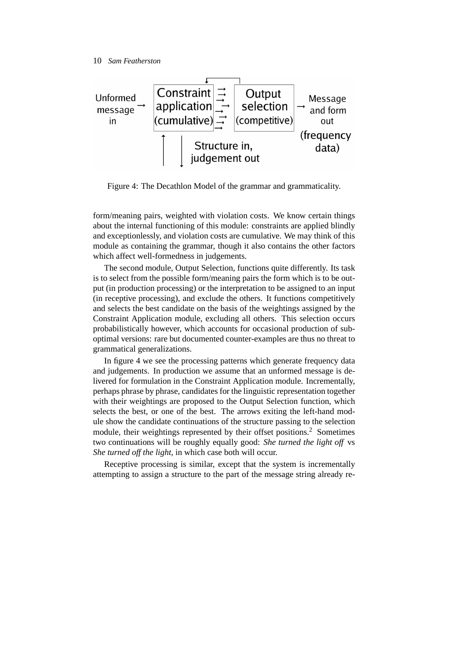

Figure 4: The Decathlon Model of the grammar and grammaticality.

form/meaning pairs, weighted with violation costs. We know certain things about the internal functioning of this module: constraints are applied blindly and exceptionlessly, and violation costs are cumulative. We may think of this module as containing the grammar, though it also contains the other factors which affect well-formedness in judgements.

The second module, Output Selection, functions quite differently. Its task is to select from the possible form/meaning pairs the form which is to be output (in production processing) or the interpretation to be assigned to an input (in receptive processing), and exclude the others. It functions competitively and selects the best candidate on the basis of the weightings assigned by the Constraint Application module, excluding all others. This selection occurs probabilistically however, which accounts for occasional production of suboptimal versions: rare but documented counter-examples are thus no threat to grammatical generalizations.

In figure 4 we see the processing patterns which generate frequency data and judgements. In production we assume that an unformed message is delivered for formulation in the Constraint Application module. Incrementally, perhaps phrase by phrase, candidates for the linguistic representation together with their weightings are proposed to the Output Selection function, which selects the best, or one of the best. The arrows exiting the left-hand module show the candidate continuations of the structure passing to the selection module, their weightings represented by their offset positions.<sup>2</sup> Sometimes two continuations will be roughly equally good: *She turned the light off* vs *She turned off the light*, in which case both will occur.

Receptive processing is similar, except that the system is incrementally attempting to assign a structure to the part of the message string already re-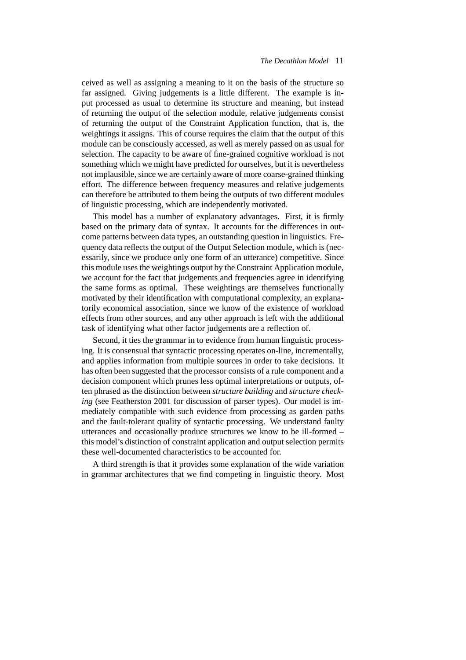ceived as well as assigning a meaning to it on the basis of the structure so far assigned. Giving judgements is a little different. The example is input processed as usual to determine its structure and meaning, but instead of returning the output of the selection module, relative judgements consist of returning the output of the Constraint Application function, that is, the weightings it assigns. This of course requires the claim that the output of this module can be consciously accessed, as well as merely passed on as usual for selection. The capacity to be aware of fine-grained cognitive workload is not something which we might have predicted for ourselves, but it is nevertheless not implausible, since we are certainly aware of more coarse-grained thinking effort. The difference between frequency measures and relative judgements can therefore be attributed to them being the outputs of two different modules of linguistic processing, which are independently motivated.

This model has a number of explanatory advantages. First, it is firmly based on the primary data of syntax. It accounts for the differences in outcome patterns between data types, an outstanding question in linguistics. Frequency data reflects the output of the Output Selection module, which is (necessarily, since we produce only one form of an utterance) competitive. Since this module uses the weightings output by the Constraint Application module, we account for the fact that judgements and frequencies agree in identifying the same forms as optimal. These weightings are themselves functionally motivated by their identification with computational complexity, an explanatorily economical association, since we know of the existence of workload effects from other sources, and any other approach is left with the additional task of identifying what other factor judgements are a reflection of.

Second, it ties the grammar in to evidence from human linguistic processing. It is consensual that syntactic processing operates on-line, incrementally, and applies information from multiple sources in order to take decisions. It has often been suggested that the processor consists of a rule component and a decision component which prunes less optimal interpretations or outputs, often phrased as the distinction between *structure building* and *structure checking* (see Featherston 2001 for discussion of parser types). Our model is immediately compatible with such evidence from processing as garden paths and the fault-tolerant quality of syntactic processing. We understand faulty utterances and occasionally produce structures we know to be ill-formed – this model's distinction of constraint application and output selection permits these well-documented characteristics to be accounted for.

A third strength is that it provides some explanation of the wide variation in grammar architectures that we find competing in linguistic theory. Most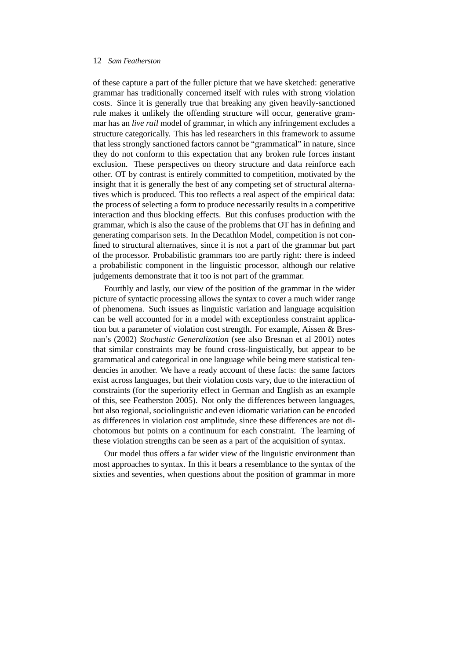of these capture a part of the fuller picture that we have sketched: generative grammar has traditionally concerned itself with rules with strong violation costs. Since it is generally true that breaking any given heavily-sanctioned rule makes it unlikely the offending structure will occur, generative grammar has an *live rail* model of grammar, in which any infringement excludes a structure categorically. This has led researchers in this framework to assume that less strongly sanctioned factors cannot be "grammatical" in nature, since they do not conform to this expectation that any broken rule forces instant exclusion. These perspectives on theory structure and data reinforce each other. OT by contrast is entirely committed to competition, motivated by the insight that it is generally the best of any competing set of structural alternatives which is produced. This too reflects a real aspect of the empirical data: the process of selecting a form to produce necessarily results in a competitive interaction and thus blocking effects. But this confuses production with the grammar, which is also the cause of the problems that OT has in defining and generating comparison sets. In the Decathlon Model, competition is not confined to structural alternatives, since it is not a part of the grammar but part of the processor. Probabilistic grammars too are partly right: there is indeed a probabilistic component in the linguistic processor, although our relative judgements demonstrate that it too is not part of the grammar.

Fourthly and lastly, our view of the position of the grammar in the wider picture of syntactic processing allows the syntax to cover a much wider range of phenomena. Such issues as linguistic variation and language acquisition can be well accounted for in a model with exceptionless constraint application but a parameter of violation cost strength. For example, Aissen & Bresnan's (2002) *Stochastic Generalization* (see also Bresnan et al 2001) notes that similar constraints may be found cross-linguistically, but appear to be grammatical and categorical in one language while being mere statistical tendencies in another. We have a ready account of these facts: the same factors exist across languages, but their violation costs vary, due to the interaction of constraints (for the superiority effect in German and English as an example of this, see Featherston 2005). Not only the differences between languages, but also regional, sociolinguistic and even idiomatic variation can be encoded as differences in violation cost amplitude, since these differences are not dichotomous but points on a continuum for each constraint. The learning of these violation strengths can be seen as a part of the acquisition of syntax.

Our model thus offers a far wider view of the linguistic environment than most approaches to syntax. In this it bears a resemblance to the syntax of the sixties and seventies, when questions about the position of grammar in more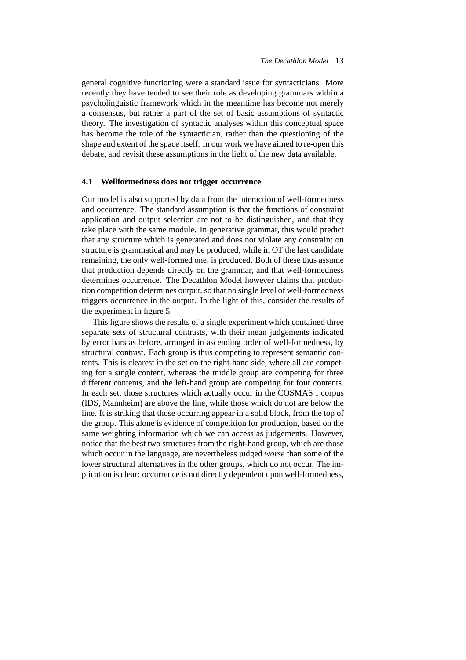general cognitive functioning were a standard issue for syntacticians. More recently they have tended to see their role as developing grammars within a psycholinguistic framework which in the meantime has become not merely a consensus, but rather a part of the set of basic assumptions of syntactic theory. The investigation of syntactic analyses within this conceptual space has become the role of the syntactician, rather than the questioning of the shape and extent of the space itself. In our work we have aimed to re-open this debate, and revisit these assumptions in the light of the new data available.

#### **4.1 Wellformedness does not trigger occurrence**

Our model is also supported by data from the interaction of well-formedness and occurrence. The standard assumption is that the functions of constraint application and output selection are not to be distinguished, and that they take place with the same module. In generative grammar, this would predict that any structure which is generated and does not violate any constraint on structure is grammatical and may be produced, while in OT the last candidate remaining, the only well-formed one, is produced. Both of these thus assume that production depends directly on the grammar, and that well-formedness determines occurrence. The Decathlon Model however claims that production competition determines output, so that no single level of well-formedness triggers occurrence in the output. In the light of this, consider the results of the experiment in figure 5.

This figure shows the results of a single experiment which contained three separate sets of structural contrasts, with their mean judgements indicated by error bars as before, arranged in ascending order of well-formedness, by structural contrast. Each group is thus competing to represent semantic contents. This is clearest in the set on the right-hand side, where all are competing for a single content, whereas the middle group are competing for three different contents, and the left-hand group are competing for four contents. In each set, those structures which actually occur in the COSMAS I corpus (IDS, Mannheim) are above the line, while those which do not are below the line. It is striking that those occurring appear in a solid block, from the top of the group. This alone is evidence of competition for production, based on the same weighting information which we can access as judgements. However, notice that the best two structures from the right-hand group, which are those which occur in the language, are nevertheless judged *worse* than some of the lower structural alternatives in the other groups, which do not occur. The implication is clear: occurrence is not directly dependent upon well-formedness,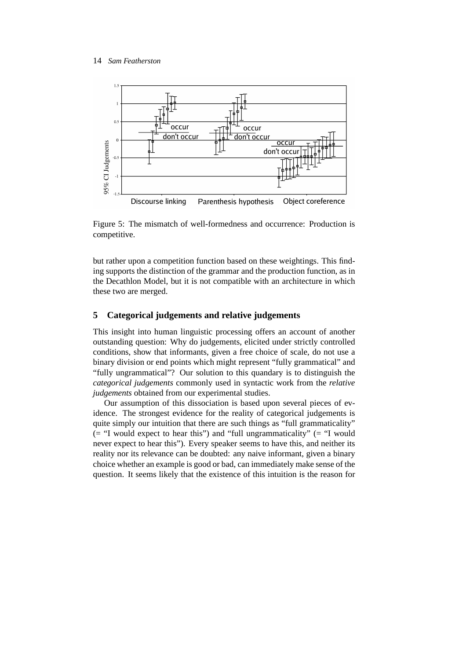

Figure 5: The mismatch of well-formedness and occurrence: Production is competitive.

but rather upon a competition function based on these weightings. This finding supports the distinction of the grammar and the production function, as in the Decathlon Model, but it is not compatible with an architecture in which these two are merged.

## **5 Categorical judgements and relative judgements**

This insight into human linguistic processing offers an account of another outstanding question: Why do judgements, elicited under strictly controlled conditions, show that informants, given a free choice of scale, do not use a binary division or end points which might represent "fully grammatical" and "fully ungrammatical"? Our solution to this quandary is to distinguish the *categorical judgements* commonly used in syntactic work from the *relative judgements* obtained from our experimental studies.

Our assumption of this dissociation is based upon several pieces of evidence. The strongest evidence for the reality of categorical judgements is quite simply our intuition that there are such things as "full grammaticality"  $($  = "I would expect to hear this") and "full ungrammaticality"  $($  = "I would never expect to hear this"). Every speaker seems to have this, and neither its reality nor its relevance can be doubted: any naive informant, given a binary choice whether an example is good or bad, can immediately make sense of the question. It seems likely that the existence of this intuition is the reason for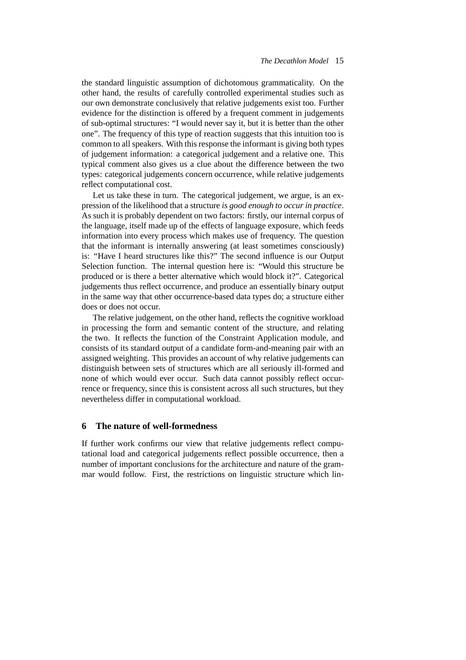the standard linguistic assumption of dichotomous grammaticality. On the other hand, the results of carefully controlled experimental studies such as our own demonstrate conclusively that relative judgements exist too. Further evidence for the distinction is offered by a frequent comment in judgements of sub-optimal structures: "I would never say it, but it is better than the other one". The frequency of this type of reaction suggests that this intuition too is common to all speakers. With this response the informant is giving both types of judgement information: a categorical judgement and a relative one. This typical comment also gives us a clue about the difference between the two types: categorical judgements concern occurrence, while relative judgements reflect computational cost.

Let us take these in turn. The categorical judgement, we argue, is an expression of the likelihood that a structure *is good enough to occur in practice*. As such it is probably dependent on two factors: firstly, our internal corpus of the language, itself made up of the effects of language exposure, which feeds information into every process which makes use of frequency. The question that the informant is internally answering (at least sometimes consciously) is: "Have I heard structures like this?" The second influence is our Output Selection function. The internal question here is: "Would this structure be produced or is there a better alternative which would block it?". Categorical judgements thus reflect occurrence, and produce an essentially binary output in the same way that other occurrence-based data types do; a structure either does or does not occur.

The relative judgement, on the other hand, reflects the cognitive workload in processing the form and semantic content of the structure, and relating the two. It reflects the function of the Constraint Application module, and consists of its standard output of a candidate form-and-meaning pair with an assigned weighting. This provides an account of why relative judgements can distinguish between sets of structures which are all seriously ill-formed and none of which would ever occur. Such data cannot possibly reflect occurrence or frequency, since this is consistent across all such structures, but they nevertheless differ in computational workload.

## **6 The nature of well-formedness**

If further work confirms our view that relative judgements reflect computational load and categorical judgements reflect possible occurrence, then a number of important conclusions for the architecture and nature of the grammar would follow. First, the restrictions on linguistic structure which lin-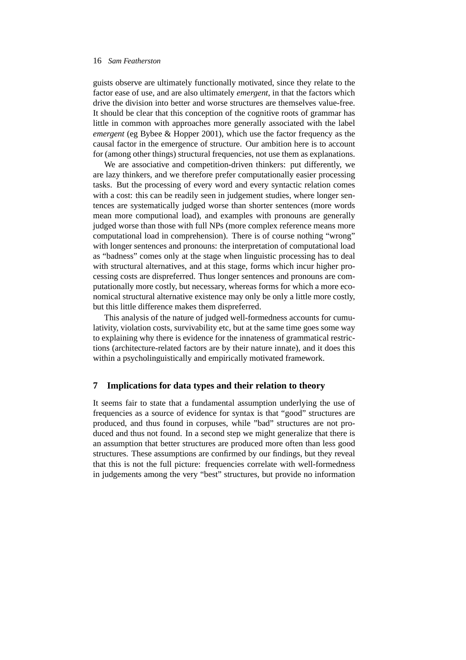guists observe are ultimately functionally motivated, since they relate to the factor ease of use, and are also ultimately *emergent*, in that the factors which drive the division into better and worse structures are themselves value-free. It should be clear that this conception of the cognitive roots of grammar has little in common with approaches more generally associated with the label *emergent* (eg Bybee & Hopper 2001), which use the factor frequency as the causal factor in the emergence of structure. Our ambition here is to account for (among other things) structural frequencies, not use them as explanations.

We are associative and competition-driven thinkers: put differently, we are lazy thinkers, and we therefore prefer computationally easier processing tasks. But the processing of every word and every syntactic relation comes with a cost: this can be readily seen in judgement studies, where longer sentences are systematically judged worse than shorter sentences (more words mean more computional load), and examples with pronouns are generally judged worse than those with full NPs (more complex reference means more computational load in comprehension). There is of course nothing "wrong" with longer sentences and pronouns: the interpretation of computational load as "badness" comes only at the stage when linguistic processing has to deal with structural alternatives, and at this stage, forms which incur higher processing costs are dispreferred. Thus longer sentences and pronouns are computationally more costly, but necessary, whereas forms for which a more economical structural alternative existence may only be only a little more costly, but this little difference makes them dispreferred.

This analysis of the nature of judged well-formedness accounts for cumulativity, violation costs, survivability etc, but at the same time goes some way to explaining why there is evidence for the innateness of grammatical restrictions (architecture-related factors are by their nature innate), and it does this within a psycholinguistically and empirically motivated framework.

### **7 Implications for data types and their relation to theory**

It seems fair to state that a fundamental assumption underlying the use of frequencies as a source of evidence for syntax is that "good" structures are produced, and thus found in corpuses, while "bad" structures are not produced and thus not found. In a second step we might generalize that there is an assumption that better structures are produced more often than less good structures. These assumptions are confirmed by our findings, but they reveal that this is not the full picture: frequencies correlate with well-formedness in judgements among the very "best" structures, but provide no information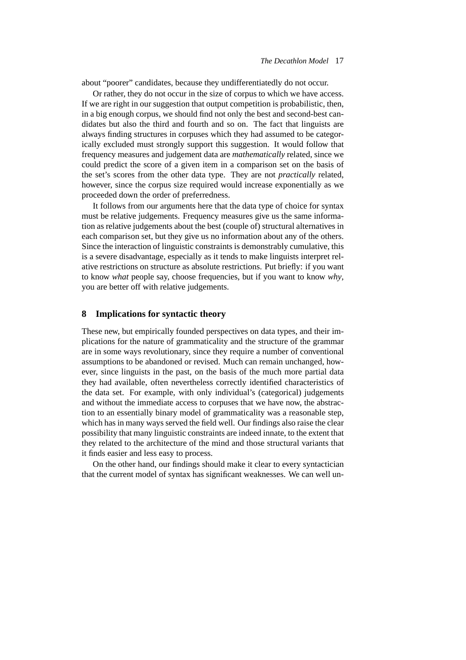about "poorer" candidates, because they undifferentiatedly do not occur.

Or rather, they do not occur in the size of corpus to which we have access. If we are right in our suggestion that output competition is probabilistic, then, in a big enough corpus, we should find not only the best and second-best candidates but also the third and fourth and so on. The fact that linguists are always finding structures in corpuses which they had assumed to be categorically excluded must strongly support this suggestion. It would follow that frequency measures and judgement data are *mathematically* related, since we could predict the score of a given item in a comparison set on the basis of the set's scores from the other data type. They are not *practically* related, however, since the corpus size required would increase exponentially as we proceeded down the order of preferredness.

It follows from our arguments here that the data type of choice for syntax must be relative judgements. Frequency measures give us the same information as relative judgements about the best (couple of) structural alternatives in each comparison set, but they give us no information about any of the others. Since the interaction of linguistic constraints is demonstrably cumulative, this is a severe disadvantage, especially as it tends to make linguists interpret relative restrictions on structure as absolute restrictions. Put briefly: if you want to know *what* people say, choose frequencies, but if you want to know *why*, you are better off with relative judgements.

#### **8 Implications for syntactic theory**

These new, but empirically founded perspectives on data types, and their implications for the nature of grammaticality and the structure of the grammar are in some ways revolutionary, since they require a number of conventional assumptions to be abandoned or revised. Much can remain unchanged, however, since linguists in the past, on the basis of the much more partial data they had available, often nevertheless correctly identified characteristics of the data set. For example, with only individual's (categorical) judgements and without the immediate access to corpuses that we have now, the abstraction to an essentially binary model of grammaticality was a reasonable step, which has in many ways served the field well. Our findings also raise the clear possibility that many linguistic constraints are indeed innate, to the extent that they related to the architecture of the mind and those structural variants that it finds easier and less easy to process.

On the other hand, our findings should make it clear to every syntactician that the current model of syntax has significant weaknesses. We can well un-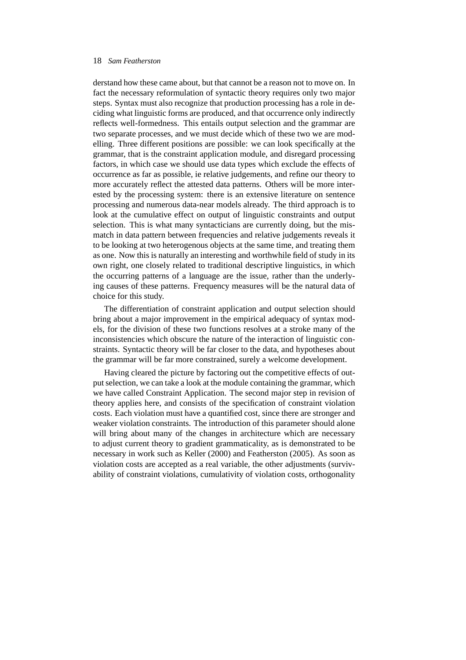derstand how these came about, but that cannot be a reason not to move on. In fact the necessary reformulation of syntactic theory requires only two major steps. Syntax must also recognize that production processing has a role in deciding what linguistic forms are produced, and that occurrence only indirectly reflects well-formedness. This entails output selection and the grammar are two separate processes, and we must decide which of these two we are modelling. Three different positions are possible: we can look specifically at the grammar, that is the constraint application module, and disregard processing factors, in which case we should use data types which exclude the effects of occurrence as far as possible, ie relative judgements, and refine our theory to more accurately reflect the attested data patterns. Others will be more interested by the processing system: there is an extensive literature on sentence processing and numerous data-near models already. The third approach is to look at the cumulative effect on output of linguistic constraints and output selection. This is what many syntacticians are currently doing, but the mismatch in data pattern between frequencies and relative judgements reveals it to be looking at two heterogenous objects at the same time, and treating them as one. Now this is naturally an interesting and worthwhile field of study in its own right, one closely related to traditional descriptive linguistics, in which the occurring patterns of a language are the issue, rather than the underlying causes of these patterns. Frequency measures will be the natural data of choice for this study.

The differentiation of constraint application and output selection should bring about a major improvement in the empirical adequacy of syntax models, for the division of these two functions resolves at a stroke many of the inconsistencies which obscure the nature of the interaction of linguistic constraints. Syntactic theory will be far closer to the data, and hypotheses about the grammar will be far more constrained, surely a welcome development.

Having cleared the picture by factoring out the competitive effects of output selection, we can take a look at the module containing the grammar, which we have called Constraint Application. The second major step in revision of theory applies here, and consists of the specification of constraint violation costs. Each violation must have a quantified cost, since there are stronger and weaker violation constraints. The introduction of this parameter should alone will bring about many of the changes in architecture which are necessary to adjust current theory to gradient grammaticality, as is demonstrated to be necessary in work such as Keller (2000) and Featherston (2005). As soon as violation costs are accepted as a real variable, the other adjustments (survivability of constraint violations, cumulativity of violation costs, orthogonality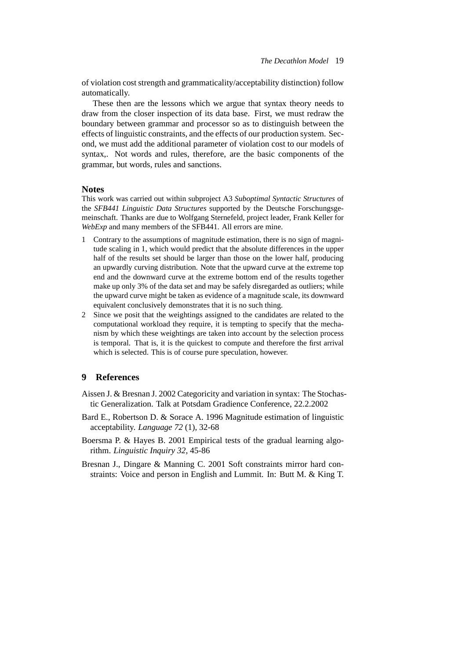of violation cost strength and grammaticality/acceptability distinction) follow automatically.

These then are the lessons which we argue that syntax theory needs to draw from the closer inspection of its data base. First, we must redraw the boundary between grammar and processor so as to distinguish between the effects of linguistic constraints, and the effects of our production system. Second, we must add the additional parameter of violation cost to our models of syntax,. Not words and rules, therefore, are the basic components of the grammar, but words, rules and sanctions.

#### **Notes**

This work was carried out within subproject A3 *Suboptimal Syntactic Structures* of the *SFB441 Linguistic Data Structures* supported by the Deutsche Forschungsgemeinschaft. Thanks are due to Wolfgang Sternefeld, project leader, Frank Keller for *WebExp* and many members of the SFB441. All errors are mine.

- 1 Contrary to the assumptions of magnitude estimation, there is no sign of magnitude scaling in 1, which would predict that the absolute differences in the upper half of the results set should be larger than those on the lower half, producing an upwardly curving distribution. Note that the upward curve at the extreme top end and the downward curve at the extreme bottom end of the results together make up only 3% of the data set and may be safely disregarded as outliers; while the upward curve might be taken as evidence of a magnitude scale, its downward equivalent conclusively demonstrates that it is no such thing.
- 2 Since we posit that the weightings assigned to the candidates are related to the computational workload they require, it is tempting to specify that the mechanism by which these weightings are taken into account by the selection process is temporal. That is, it is the quickest to compute and therefore the first arrival which is selected. This is of course pure speculation, however.

## **9 References**

- Aissen J. & Bresnan J. 2002 Categoricity and variation in syntax: The Stochastic Generalization. Talk at Potsdam Gradience Conference, 22.2.2002
- Bard E., Robertson D. & Sorace A. 1996 Magnitude estimation of linguistic acceptability. *Language 72* (1), 32-68
- Boersma P. & Hayes B. 2001 Empirical tests of the gradual learning algorithm. *Linguistic Inquiry 32*, 45-86
- Bresnan J., Dingare & Manning C. 2001 Soft constraints mirror hard constraints: Voice and person in English and Lummit. In: Butt M. & King T.